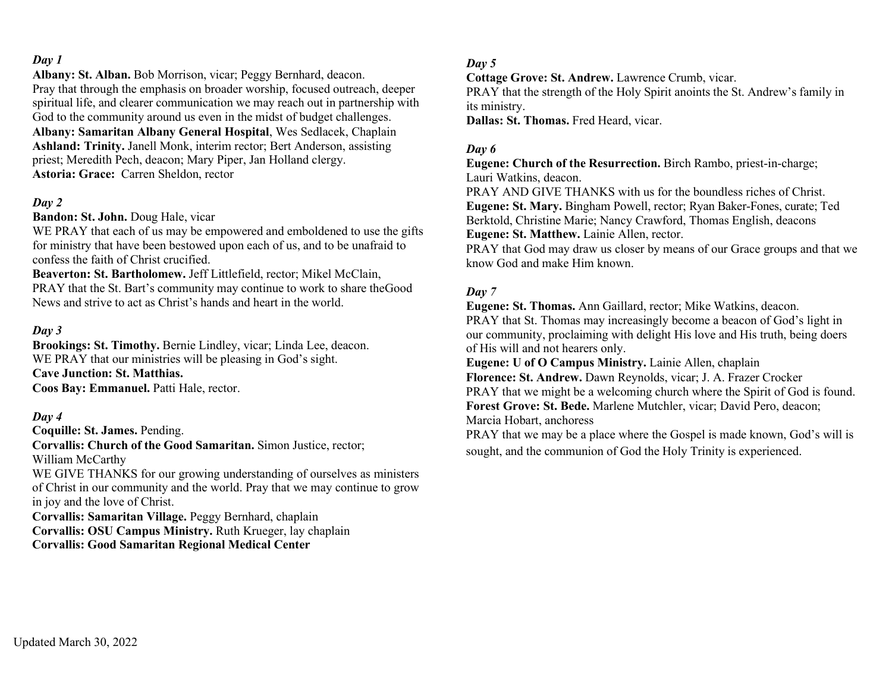**Albany: St. Alban.** Bob Morrison, vicar; Peggy Bernhard, deacon. Pray that through the emphasis on broader worship, focused outreach, deeper spiritual life, and clearer communication we may reach out in partnership with God to the community around us even in the midst of budget challenges. **Albany: Samaritan Albany General Hospital**, Wes Sedlacek, Chaplain **Ashland: Trinity.** Janell Monk, interim rector; Bert Anderson, assisting priest; Meredith Pech, deacon; Mary Piper, Jan Holland clergy. **Astoria: Grace:** Carren Sheldon, rector

## *Day 2*

**Bandon: St. John.** Doug Hale, vicar

WE PRAY that each of us may be empowered and emboldened to use the gifts for ministry that have been bestowed upon each of us, and to be unafraid to confess the faith of Christ crucified.

**Beaverton: St. Bartholomew.** Jeff Littlefield, rector; Mikel McClain, PRAY that the St. Bart's community may continue to work to share theGood News and strive to act as Christ's hands and heart in the world.

#### *Day 3*

**Brookings: St. Timothy.** Bernie Lindley, vicar; Linda Lee, deacon. WE PRAY that our ministries will be pleasing in God's sight. **Cave Junction: St. Matthias. Coos Bay: Emmanuel.** Patti Hale, rector.

#### *Day 4*

**Coquille: St. James.** Pending.

**Corvallis: Church of the Good Samaritan.** Simon Justice, rector; William McCarthy

WE GIVE THANKS for our growing understanding of ourselves as ministers of Christ in our community and the world. Pray that we may continue to grow in joy and the love of Christ.

**Corvallis: Samaritan Village.** Peggy Bernhard, chaplain **Corvallis: OSU Campus Ministry.** Ruth Krueger, lay chaplain **Corvallis: Good Samaritan Regional Medical Center**

#### *Day 5*

**Cottage Grove: St. Andrew.** Lawrence Crumb, vicar.

PRAY that the strength of the Holy Spirit anoints the St. Andrew's family in its ministry.

**Dallas: St. Thomas.** Fred Heard, vicar.

### *Day 6*

**Eugene: Church of the Resurrection.** Birch Rambo, priest-in-charge; Lauri Watkins, deacon.

PRAY AND GIVE THANKS with us for the boundless riches of Christ. **Eugene: St. Mary.** Bingham Powell, rector; Ryan Baker-Fones, curate; Ted Berktold, Christine Marie; Nancy Crawford, Thomas English, deacons **Eugene: St. Matthew.** Lainie Allen, rector.

PRAY that God may draw us closer by means of our Grace groups and that we know God and make Him known.

#### *Day 7*

**Eugene: St. Thomas.** Ann Gaillard, rector; Mike Watkins, deacon. PRAY that St. Thomas may increasingly become a beacon of God's light in our community, proclaiming with delight His love and His truth, being doers of His will and not hearers only.

**Eugene: U of O Campus Ministry.** Lainie Allen, chaplain

**Florence: St. Andrew.** Dawn Reynolds, vicar; J. A. Frazer Crocker PRAY that we might be a welcoming church where the Spirit of God is found. **Forest Grove: St. Bede.** Marlene Mutchler, vicar; David Pero, deacon; Marcia Hobart, anchoress

PRAY that we may be a place where the Gospel is made known, God's will is sought, and the communion of God the Holy Trinity is experienced.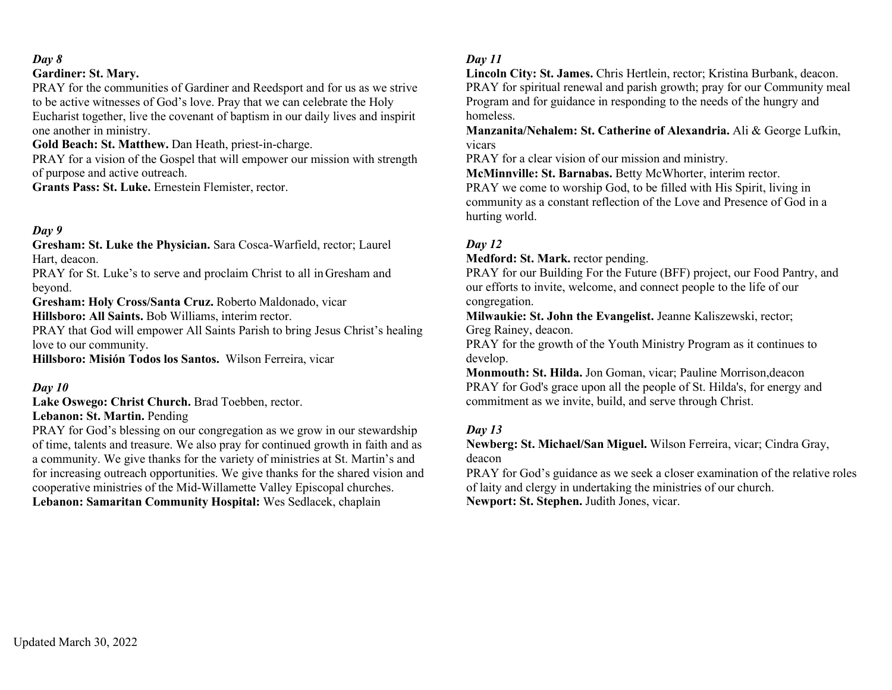### **Gardiner: St. Mary.**

PRAY for the communities of Gardiner and Reedsport and for us as we strive to be active witnesses of God's love. Pray that we can celebrate the Holy Eucharist together, live the covenant of baptism in our daily lives and inspirit one another in ministry.

**Gold Beach: St. Matthew.** Dan Heath, priest-in-charge.

PRAY for a vision of the Gospel that will empower our mission with strength of purpose and active outreach.

**Grants Pass: St. Luke.** Ernestein Flemister, rector.

## *Day 9*

**Gresham: St. Luke the Physician.** Sara Cosca-Warfield, rector; Laurel Hart, deacon.

PRAY for St. Luke's to serve and proclaim Christ to all in Gresham and beyond.

**Gresham: Holy Cross/Santa Cruz.** Roberto Maldonado, vicar

**Hillsboro: All Saints.** Bob Williams, interim rector.

PRAY that God will empower All Saints Parish to bring Jesus Christ's healing love to our community.

**Hillsboro: Misión Todos los Santos.** Wilson Ferreira, vicar

### *Day 10*

**Lake Oswego: Christ Church.** Brad Toebben, rector.

#### **Lebanon: St. Martin.** Pending

PRAY for God's blessing on our congregation as we grow in our stewardship of time, talents and treasure. We also pray for continued growth in faith and as a community. We give thanks for the variety of ministries at St. Martin's and for increasing outreach opportunities. We give thanks for the shared vision and cooperative ministries of the Mid-Willamette Valley Episcopal churches. **Lebanon: Samaritan Community Hospital:** Wes Sedlacek, chaplain

## *Day 11*

**Lincoln City: St. James.** Chris Hertlein, rector; Kristina Burbank, deacon. PRAY for spiritual renewal and parish growth; pray for our Community meal Program and for guidance in responding to the needs of the hungry and homeless.

**Manzanita/Nehalem: St. Catherine of Alexandria.** Ali & George Lufkin, vicars

PRAY for a clear vision of our mission and ministry.

**McMinnville: St. Barnabas.** Betty McWhorter, interim rector. PRAY we come to worship God, to be filled with His Spirit, living in community as a constant reflection of the Love and Presence of God in a hurting world.

## *Day 12*

**Medford: St. Mark.** rector pending.

PRAY for our Building For the Future (BFF) project, our Food Pantry, and our efforts to invite, welcome, and connect people to the life of our congregation.

**Milwaukie: St. John the Evangelist.** Jeanne Kaliszewski, rector; Greg Rainey, deacon.

PRAY for the growth of the Youth Ministry Program as it continues to develop.

**Monmouth: St. Hilda.** Jon Goman, vicar; Pauline Morrison,deacon PRAY for God's grace upon all the people of St. Hilda's, for energy and commitment as we invite, build, and serve through Christ.

## *Day 13*

**Newberg: St. Michael/San Miguel.** Wilson Ferreira, vicar; Cindra Gray, deacon

PRAY for God's guidance as we seek a closer examination of the relative roles of laity and clergy in undertaking the ministries of our church. **Newport: St. Stephen.** Judith Jones, vicar.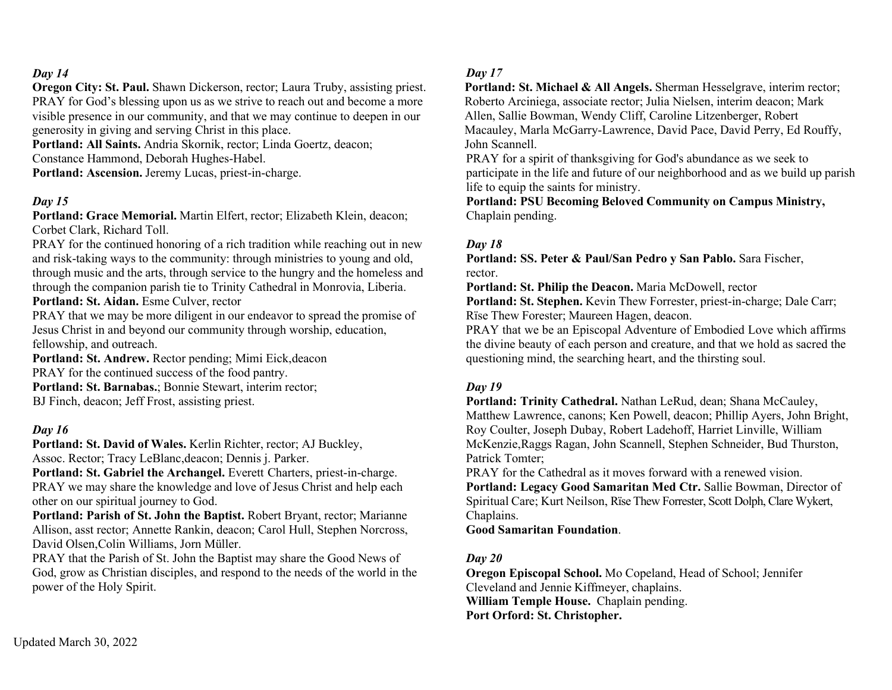**Oregon City: St. Paul.** Shawn Dickerson, rector; Laura Truby, assisting priest. PRAY for God's blessing upon us as we strive to reach out and become a more visible presence in our community, and that we may continue to deepen in our generosity in giving and serving Christ in this place.

**Portland: All Saints.** Andria Skornik, rector; Linda Goertz, deacon; Constance Hammond, Deborah Hughes-Habel.

**Portland: Ascension.** Jeremy Lucas, priest-in-charge.

#### *Day 15*

**Portland: Grace Memorial.** Martin Elfert, rector; Elizabeth Klein, deacon; Corbet Clark, Richard Toll.

PRAY for the continued honoring of a rich tradition while reaching out in new and risk-taking ways to the community: through ministries to young and old, through music and the arts, through service to the hungry and the homeless and through the companion parish tie to Trinity Cathedral in Monrovia, Liberia. **Portland: St. Aidan.** Esme Culver, rector

PRAY that we may be more diligent in our endeavor to spread the promise of Jesus Christ in and beyond our community through worship, education, fellowship, and outreach.

**Portland: St. Andrew.** Rector pending; Mimi Eick,deacon PRAY for the continued success of the food pantry. **Portland: St. Barnabas.**; Bonnie Stewart, interim rector; BJ Finch, deacon; Jeff Frost, assisting priest.

#### *Day 16*

**Portland: St. David of Wales.** Kerlin Richter, rector; AJ Buckley, Assoc. Rector; Tracy LeBlanc,deacon; Dennis j. Parker.

Portland: St. Gabriel the Archangel. Everett Charters, priest-in-charge. PRAY we may share the knowledge and love of Jesus Christ and help each other on our spiritual journey to God.

**Portland: Parish of St. John the Baptist.** Robert Bryant, rector; Marianne Allison, asst rector; Annette Rankin, deacon; Carol Hull, Stephen Norcross, David Olsen,Colin Williams, Jorn Müller.

PRAY that the Parish of St. John the Baptist may share the Good News of God, grow as Christian disciples, and respond to the needs of the world in the power of the Holy Spirit.

#### *Day 17*

**Portland: St. Michael & All Angels.** Sherman Hesselgrave, interim rector; Roberto Arciniega, associate rector; Julia Nielsen, interim deacon; Mark Allen, Sallie Bowman, Wendy Cliff, Caroline Litzenberger, Robert Macauley, Marla McGarry-Lawrence, David Pace, David Perry, Ed Rouffy, John Scannell.

PRAY for a spirit of thanksgiving for God's abundance as we seek to participate in the life and future of our neighborhood and as we build up parish life to equip the saints for ministry.

**Portland: PSU Becoming Beloved Community on Campus Ministry,** Chaplain pending.

#### *Day 18*

**Portland: SS. Peter & Paul/San Pedro y San Pablo.** Sara Fischer, rector.

**Portland: St. Philip the Deacon.** Maria McDowell, rector

**Portland: St. Stephen.** Kevin Thew Forrester, priest-in-charge; Dale Carr; Rïse Thew Forester; Maureen Hagen, deacon.

PRAY that we be an Episcopal Adventure of Embodied Love which affirms the divine beauty of each person and creature, and that we hold as sacred the questioning mind, the searching heart, and the thirsting soul.

#### *Day 19*

**Portland: Trinity Cathedral.** Nathan LeRud, dean; Shana McCauley, Matthew Lawrence, canons; Ken Powell, deacon; Phillip Ayers, John Bright, Roy Coulter, Joseph Dubay, Robert Ladehoff, Harriet Linville, William McKenzie,Raggs Ragan, John Scannell, Stephen Schneider, Bud Thurston, Patrick Tomter;

PRAY for the Cathedral as it moves forward with a renewed vision. **Portland: Legacy Good Samaritan Med Ctr.** Sallie Bowman, Director of Spiritual Care; Kurt Neilson, Rïse Thew Forrester, Scott Dolph, Clare Wykert, Chaplains.

**Good Samaritan Foundation**.

### *Day 20*

**Oregon Episcopal School.** Mo Copeland, Head of School; Jennifer Cleveland and Jennie Kiffmeyer, chaplains. **William Temple House.** Chaplain pending. **Port Orford: St. Christopher.**